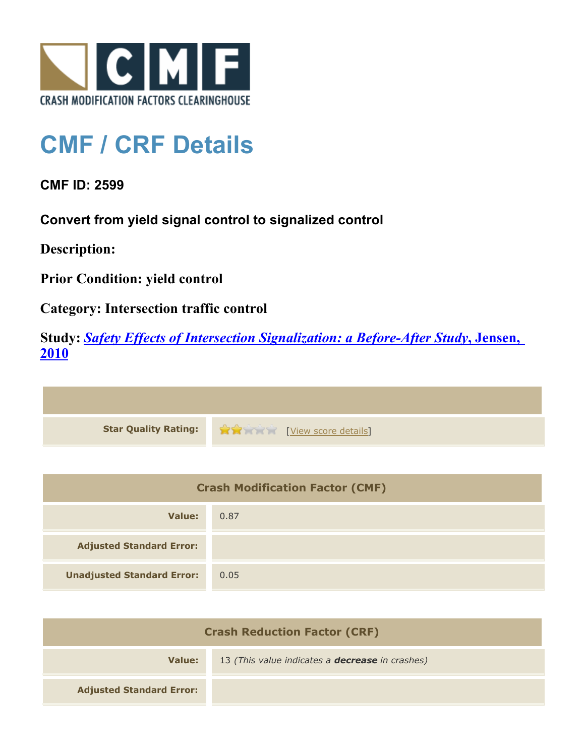

## **CMF / CRF Details**

**CMF ID: 2599**

**Convert from yield signal control to signalized control**

**Description:** 

**Prior Condition: yield control**

**Category: Intersection traffic control**

**Study:** *[Safety Effects of Intersection Signalization: a Before-After Study](http://www.cmfclearinghouse.org/study_detail.cfm?stid=170)***[, Jensen,](http://www.cmfclearinghouse.org/study_detail.cfm?stid=170) [2010](http://www.cmfclearinghouse.org/study_detail.cfm?stid=170)**



| <b>Crash Modification Factor (CMF)</b> |      |
|----------------------------------------|------|
| Value:                                 | 0.87 |
| <b>Adjusted Standard Error:</b>        |      |
| <b>Unadjusted Standard Error:</b>      | 0.05 |

| <b>Crash Reduction Factor (CRF)</b> |                                                        |
|-------------------------------------|--------------------------------------------------------|
| Value:                              | 13 (This value indicates a <b>decrease</b> in crashes) |
| <b>Adjusted Standard Error:</b>     |                                                        |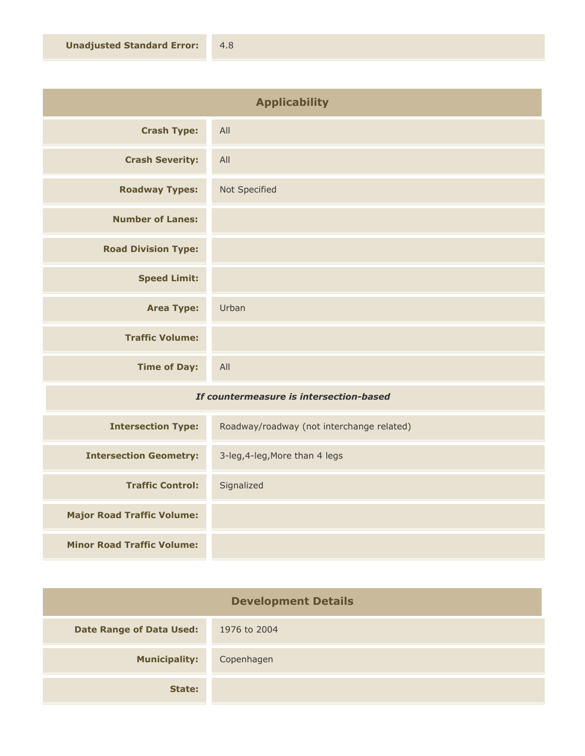| <b>Applicability</b>       |               |
|----------------------------|---------------|
| <b>Crash Type:</b>         | All           |
| <b>Crash Severity:</b>     | All           |
| <b>Roadway Types:</b>      | Not Specified |
| <b>Number of Lanes:</b>    |               |
| <b>Road Division Type:</b> |               |
| <b>Speed Limit:</b>        |               |
| <b>Area Type:</b>          | Urban         |
| <b>Traffic Volume:</b>     |               |
| <b>Time of Day:</b>        | All           |

## *If countermeasure is intersection-based*

| <b>Intersection Type:</b>         | Roadway/roadway (not interchange related) |
|-----------------------------------|-------------------------------------------|
| <b>Intersection Geometry:</b>     | 3-leg, 4-leg, More than 4 legs            |
| <b>Traffic Control:</b>           | Signalized                                |
| <b>Major Road Traffic Volume:</b> |                                           |
| <b>Minor Road Traffic Volume:</b> |                                           |

| <b>Development Details</b>      |              |
|---------------------------------|--------------|
| <b>Date Range of Data Used:</b> | 1976 to 2004 |
| <b>Municipality:</b>            | Copenhagen   |
| State:                          |              |